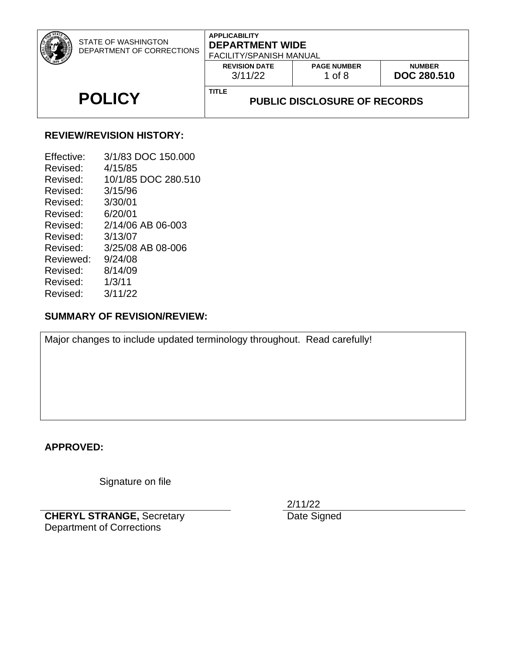| STATE OF WASHINGTON<br>DEPARTMENT OF CORRECTIONS | <b>APPLICABILITY</b><br><b>DEPARTMENT WIDE</b><br><b>FACILITY/SPANISH MANUAL</b> |                                |                                     |
|--------------------------------------------------|----------------------------------------------------------------------------------|--------------------------------|-------------------------------------|
|                                                  | <b>REVISION DATE</b><br>3/11/22                                                  | <b>PAGE NUMBER</b><br>1 of $8$ | <b>NUMBER</b><br><b>DOC 280.510</b> |
| <b>POLICY</b>                                    | <b>TITLE</b><br><b>PUBLIC DISCLOSURE OF RECORDS</b>                              |                                |                                     |

## **REVIEW/REVISION HISTORY:**

| Effective: | 3/1/83 DOC 150,000  |
|------------|---------------------|
| Revised:   | 4/15/85             |
| Revised:   | 10/1/85 DOC 280.510 |
| Revised:   | 3/15/96             |
| Revised:   | 3/30/01             |
| Revised:   | 6/20/01             |
| Revised:   | 2/14/06 AB 06-003   |
| Revised:   | 3/13/07             |
| Revised:   | 3/25/08 AB 08-006   |
| Reviewed:  | 9/24/08             |
| Revised:   | 8/14/09             |
| Revised:   | 1/3/11              |
| Revised:   | 3/11/22             |

# **SUMMARY OF REVISION/REVIEW:**

Major changes to include updated terminology throughout. Read carefully!

#### **APPROVED:**

Signature on file

**CHERYL STRANGE,** Secretary Department of Corrections

2/11/22

Date Signed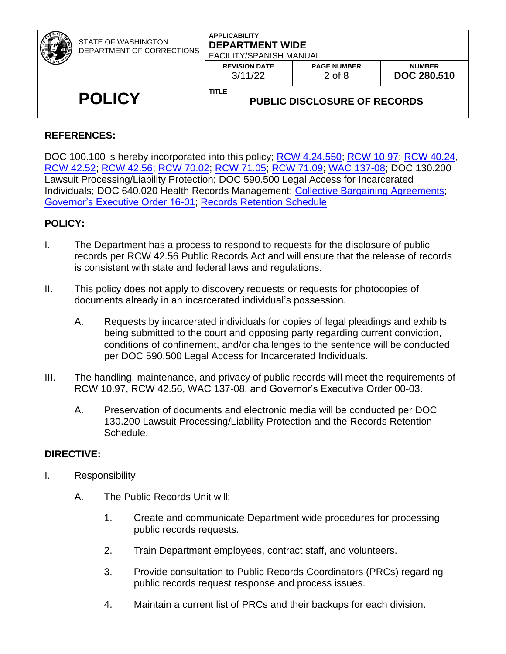| STATE OF WASHINGTON<br>DEPARTMENT OF CORRECTIONS | <b>APPLICABILITY</b><br><b>DEPARTMENT WIDE</b><br><b>FACILITY/SPANISH MANUAL</b> |                                |                                     |
|--------------------------------------------------|----------------------------------------------------------------------------------|--------------------------------|-------------------------------------|
|                                                  | <b>REVISION DATE</b><br>3/11/22                                                  | <b>PAGE NUMBER</b><br>$2$ of 8 | <b>NUMBER</b><br><b>DOC 280.510</b> |
| <b>POLICY</b>                                    | <b>TITLE</b><br><b>PUBLIC DISCLOSURE OF RECORDS</b>                              |                                |                                     |

### **REFERENCES:**

DOC 100.100 is hereby incorporated into this policy; **RCW 4.24.550; [RCW 10.97;](http://apps.leg.wa.gov/RCW/default.aspx?cite=10.97) RCW 40.24**, [RCW 42.52;](http://apps.leg.wa.gov/RCW/default.aspx?cite=42.52) [RCW 42.56;](http://apps.leg.wa.gov/RCW/default.aspx?cite=42.56) [RCW 70.02;](http://apps.leg.wa.gov/RCW/default.aspx?cite=70.02) [RCW 71.05;](http://apps.leg.wa.gov/RCW/default.aspx?cite=71.05) [RCW 71.09;](http://apps.leg.wa.gov/RCW/default.aspx?cite=71.09) [WAC 137-08;](http://apps.leg.wa.gov/WAC/default.aspx?cite=137-08) DOC 130.200 Lawsuit Processing/Liability Protection; DOC 590.500 Legal Access for Incarcerated Individuals; DOC 640.020 Health Records Management; [Collective Bargaining Agreements;](https://ofm.wa.gov/state-human-resources/labor-relations/collective-bargaining-agreements) [Governor's Executive Order 16-01;](https://www.governor.wa.gov/sites/default/files/exe_order/eo_16-01.pdf) Records [Retention Schedule](https://www.sos.wa.gov/archives/recordsmanagement/state-agencies-records-retention-schedules.aspx)

### **POLICY:**

- I. The Department has a process to respond to requests for the disclosure of public records per RCW 42.56 Public Records Act and will ensure that the release of records is consistent with state and federal laws and regulations.
- II. This policy does not apply to discovery requests or requests for photocopies of documents already in an incarcerated individual's possession.
	- A. Requests by incarcerated individuals for copies of legal pleadings and exhibits being submitted to the court and opposing party regarding current conviction, conditions of confinement, and/or challenges to the sentence will be conducted per DOC 590.500 Legal Access for Incarcerated Individuals.
- III. The handling, maintenance, and privacy of public records will meet the requirements of RCW 10.97, RCW 42.56, WAC 137-08, and Governor's Executive Order 00-03.
	- A. Preservation of documents and electronic media will be conducted per DOC 130.200 Lawsuit Processing/Liability Protection and the Records Retention Schedule.

#### **DIRECTIVE:**

- I. Responsibility
	- A. The Public Records Unit will:
		- 1. Create and communicate Department wide procedures for processing public records requests.
		- 2. Train Department employees, contract staff, and volunteers.
		- 3. Provide consultation to Public Records Coordinators (PRCs) regarding public records request response and process issues.
		- 4. Maintain a current list of PRCs and their backups for each division.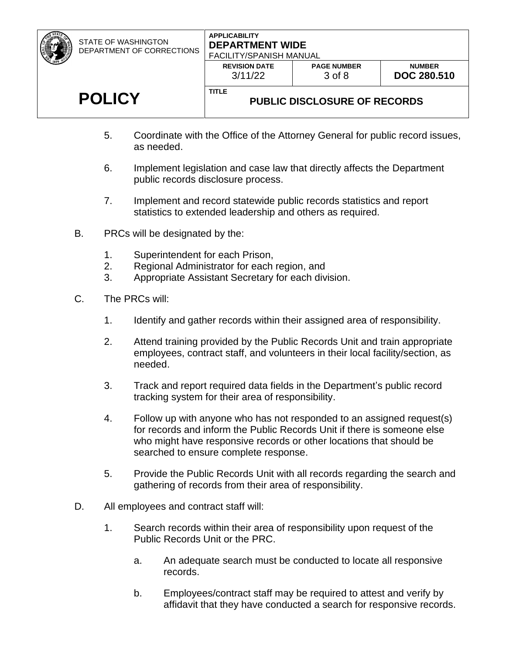STATE OF WASHINGTON DEPARTMENT OF CORRECTIONS

#### **APPLICABILITY DEPARTMENT WIDE** FACILITY/CDANICLE MANULAL

|              | <b>FAUILITY SPANISH MANUAL</b><br><b>REVISION DATE</b><br>3/11/22 | <b>PAGE NUMBER</b><br>3 of 8         | <b>NUMBER</b><br><b>DOC 280.510</b> |
|--------------|-------------------------------------------------------------------|--------------------------------------|-------------------------------------|
| <b>TITLE</b> |                                                                   | <b>DURLIC DISCLOSITE OF RECORDIS</b> |                                     |

# **POLICY**

# **PUBLIC DISCLOSURE OF RECORDS**

- 5. Coordinate with the Office of the Attorney General for public record issues, as needed.
- 6. Implement legislation and case law that directly affects the Department public records disclosure process.
- 7. Implement and record statewide public records statistics and report statistics to extended leadership and others as required.
- B. PRCs will be designated by the:
	- 1. Superintendent for each Prison,
	- 2. Regional Administrator for each region, and
	- 3. Appropriate Assistant Secretary for each division.
- C. The PRCs will:
	- 1. Identify and gather records within their assigned area of responsibility.
	- 2. Attend training provided by the Public Records Unit and train appropriate employees, contract staff, and volunteers in their local facility/section, as needed.
	- 3. Track and report required data fields in the Department's public record tracking system for their area of responsibility.
	- 4. Follow up with anyone who has not responded to an assigned request(s) for records and inform the Public Records Unit if there is someone else who might have responsive records or other locations that should be searched to ensure complete response.
	- 5. Provide the Public Records Unit with all records regarding the search and gathering of records from their area of responsibility.
- D. All employees and contract staff will:
	- 1. Search records within their area of responsibility upon request of the Public Records Unit or the PRC.
		- a. An adequate search must be conducted to locate all responsive records.
		- b. Employees/contract staff may be required to attest and verify by affidavit that they have conducted a search for responsive records.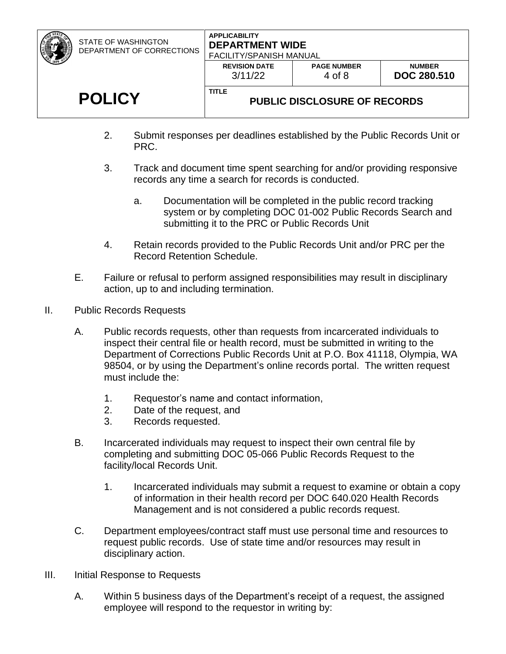STATE OF WASHINGTON DEPARTMENT OF CORRECTIONS

# **APPLICABILITY DEPARTMENT WIDE**

| ,,,,,, | <b>FACILITY/SPANISH MANUAL</b>  |                              |                                     |  |
|--------|---------------------------------|------------------------------|-------------------------------------|--|
|        | <b>REVISION DATE</b><br>3/11/22 | <b>PAGE NUMBER</b><br>4 of 8 | <b>NUMBER</b><br><b>DOC 280,510</b> |  |
|        | TITLE                           |                              |                                     |  |
|        |                                 | BUBLIA BIAALAAUBE AF BEAABBA |                                     |  |

# **POLICY**

# **PUBLIC DISCLOSURE OF RECORDS**

- 2. Submit responses per deadlines established by the Public Records Unit or PRC.
- 3. Track and document time spent searching for and/or providing responsive records any time a search for records is conducted.
	- a. Documentation will be completed in the public record tracking system or by completing DOC 01-002 Public Records Search and submitting it to the PRC or Public Records Unit
- 4. Retain records provided to the Public Records Unit and/or PRC per the Record Retention Schedule.
- E. Failure or refusal to perform assigned responsibilities may result in disciplinary action, up to and including termination.
- II. Public Records Requests
	- A. Public records requests, other than requests from incarcerated individuals to inspect their central file or health record, must be submitted in writing to the Department of Corrections Public Records Unit at P.O. Box 41118, Olympia, WA 98504, or by using the Department's online records portal. The written request must include the:
		- 1. Requestor's name and contact information,
		- 2. Date of the request, and
		- 3. Records requested.
	- B. Incarcerated individuals may request to inspect their own central file by completing and submitting DOC 05-066 Public Records Request to the facility/local Records Unit.
		- 1. Incarcerated individuals may submit a request to examine or obtain a copy of information in their health record per DOC 640.020 Health Records Management and is not considered a public records request.
	- C. Department employees/contract staff must use personal time and resources to request public records. Use of state time and/or resources may result in disciplinary action.
- III. Initial Response to Requests
	- A. Within 5 business days of the Department's receipt of a request, the assigned employee will respond to the requestor in writing by: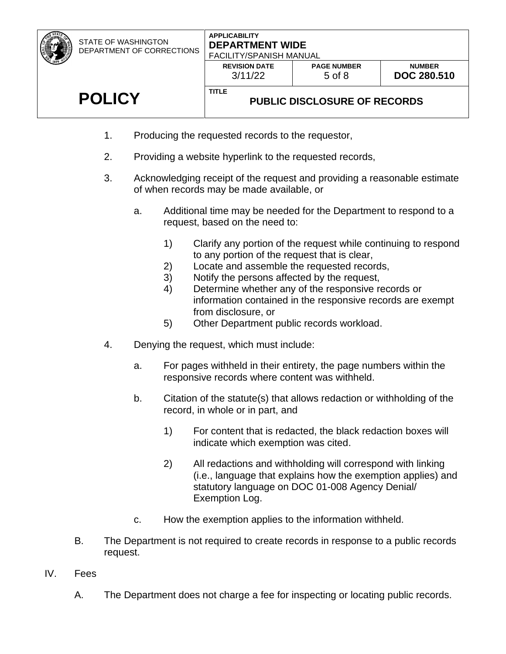STATE OF WASHINGTON DEPARTMENT OF CORRECTIONS

#### **APPLICABILITY DEPARTMENT WIDE** FACILITY/SPANISH MANUAL

|               | <b>REVISION DATE</b>                                | <b>PAGE NUMBER</b> | <b>NUMBER</b>      |
|---------------|-----------------------------------------------------|--------------------|--------------------|
|               | 3/11/22                                             | $5$ of $8$         | <b>DOC 280.510</b> |
| <b>POLICY</b> | <b>TITLE</b><br><b>PUBLIC DISCLOSURE OF RECORDS</b> |                    |                    |

- 1. Producing the requested records to the requestor,
- 2. Providing a website hyperlink to the requested records,
- 3. Acknowledging receipt of the request and providing a reasonable estimate of when records may be made available, or
	- a. Additional time may be needed for the Department to respond to a request, based on the need to:
		- 1) Clarify any portion of the request while continuing to respond to any portion of the request that is clear,
		- 2) Locate and assemble the requested records,
		- 3) Notify the persons affected by the request,
		- 4) Determine whether any of the responsive records or information contained in the responsive records are exempt from disclosure, or
		- 5) Other Department public records workload.
- 4. Denying the request, which must include:
	- a. For pages withheld in their entirety, the page numbers within the responsive records where content was withheld.
	- b. Citation of the statute(s) that allows redaction or withholding of the record, in whole or in part, and
		- 1) For content that is redacted, the black redaction boxes will indicate which exemption was cited.
		- 2) All redactions and withholding will correspond with linking (i.e., language that explains how the exemption applies) and statutory language on DOC 01-008 Agency Denial/ Exemption Log.
	- c. How the exemption applies to the information withheld.
- B. The Department is not required to create records in response to a public records request.
- IV. Fees
	- A. The Department does not charge a fee for inspecting or locating public records.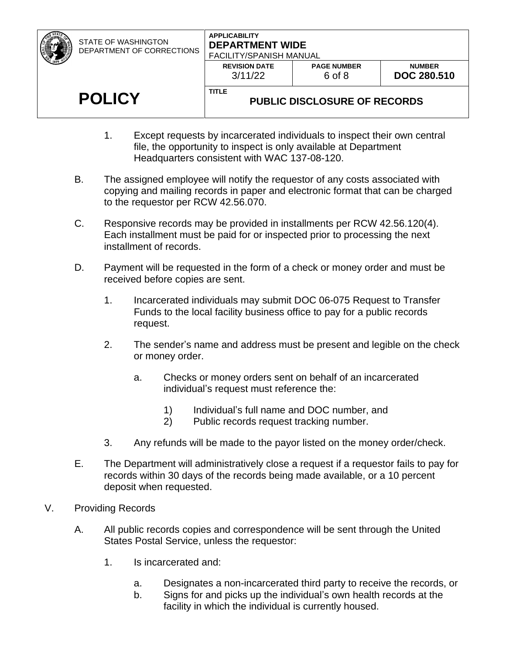| <b>STATE OF WASHINGTON</b><br>DEPARTMENT OF CORRECTIONS | <b>APPLICABILITY</b><br><b>DEPARTMENT WIDE</b><br><b>FACILITY/SPANISH MANUAL</b> |                              |                                     |
|---------------------------------------------------------|----------------------------------------------------------------------------------|------------------------------|-------------------------------------|
|                                                         | <b>REVISION DATE</b><br>3/11/22                                                  | <b>PAGE NUMBER</b><br>6 of 8 | <b>NUMBER</b><br><b>DOC 280.510</b> |
| <b>POLICY</b>                                           | <b>TITLE</b><br><b>PUBLIC DISCLOSURE OF RECORDS</b>                              |                              |                                     |

- 1. Except requests by incarcerated individuals to inspect their own central file, the opportunity to inspect is only available at Department Headquarters consistent with WAC 137-08-120.
- B. The assigned employee will notify the requestor of any costs associated with copying and mailing records in paper and electronic format that can be charged to the requestor per RCW 42.56.070.
- C. Responsive records may be provided in installments per RCW 42.56.120(4). Each installment must be paid for or inspected prior to processing the next installment of records.
- D. Payment will be requested in the form of a check or money order and must be received before copies are sent.
	- 1. Incarcerated individuals may submit DOC 06-075 Request to Transfer Funds to the local facility business office to pay for a public records request.
	- 2. The sender's name and address must be present and legible on the check or money order.
		- a. Checks or money orders sent on behalf of an incarcerated individual's request must reference the:
			- 1) Individual's full name and DOC number, and
			- 2) Public records request tracking number.
	- 3. Any refunds will be made to the payor listed on the money order/check.
- E. The Department will administratively close a request if a requestor fails to pay for records within 30 days of the records being made available, or a 10 percent deposit when requested.
- V. Providing Records
	- A. All public records copies and correspondence will be sent through the United States Postal Service, unless the requestor:
		- 1. Is incarcerated and:
			- a. Designates a non-incarcerated third party to receive the records, or
			- b. Signs for and picks up the individual's own health records at the facility in which the individual is currently housed.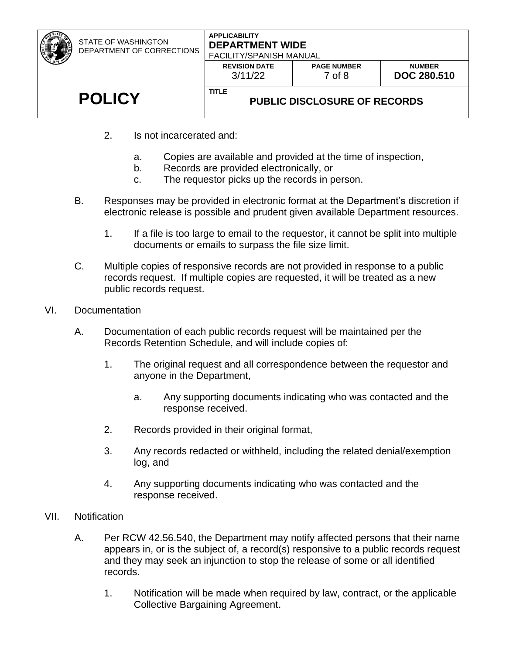| STATE OF WASHINGTON<br>DEPARTMENT OF CORRECTIONS | <b>DEPARTMENT WIDE</b><br>FACILITY/SPANISH MANUAL   |                              |                                     |
|--------------------------------------------------|-----------------------------------------------------|------------------------------|-------------------------------------|
|                                                  | <b>REVISION DATE</b><br>3/11/22                     | <b>PAGE NUMBER</b><br>7 of 8 | <b>NUMBER</b><br><b>DOC 280.510</b> |
| <b>POLICY</b>                                    | <b>TITLE</b><br><b>PUBLIC DISCLOSURE OF RECORDS</b> |                              |                                     |

- 2. Is not incarcerated and:
	- a. Copies are available and provided at the time of inspection,
	- b. Records are provided electronically, or
	- c. The requestor picks up the records in person.
- B. Responses may be provided in electronic format at the Department's discretion if electronic release is possible and prudent given available Department resources.
	- 1. If a file is too large to email to the requestor, it cannot be split into multiple documents or emails to surpass the file size limit.
- C. Multiple copies of responsive records are not provided in response to a public records request. If multiple copies are requested, it will be treated as a new public records request.
- VI. Documentation
	- A. Documentation of each public records request will be maintained per the Records Retention Schedule, and will include copies of:
		- 1. The original request and all correspondence between the requestor and anyone in the Department,
			- a. Any supporting documents indicating who was contacted and the response received.
		- 2. Records provided in their original format,
		- 3. Any records redacted or withheld, including the related denial/exemption log, and
		- 4. Any supporting documents indicating who was contacted and the response received.
- VII. Notification
	- A. Per RCW 42.56.540, the Department may notify affected persons that their name appears in, or is the subject of, a record(s) responsive to a public records request and they may seek an injunction to stop the release of some or all identified records.
		- 1. Notification will be made when required by law, contract, or the applicable Collective Bargaining Agreement.